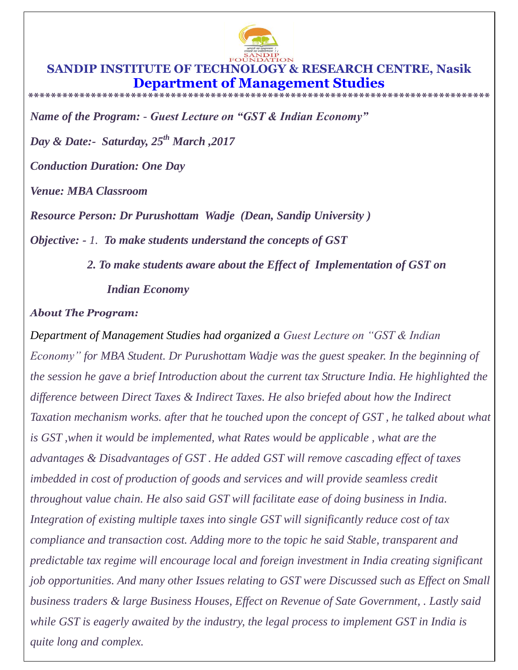

## **SANDIP INSTITUTE OF TECHNOLOGY & RESEARCH CENTRE, Nasik Department of Management Studies \*\*\*\*\*\*\*\*\*\*\*\*\*\*\*\*\*\*\*\*\*\*\*\*\*\*\*\*\*\*\*\*\*\*\*\*\*\*\*\*\*\*\*\*\*\*\*\*\*\*\*\*\*\*\*\*\*\*\*\*\*\*\*\*\*\*\*\*\*\*\*\*\*\*\*\*\*\*\*\*\***

*Name of the Program: - Guest Lecture on "GST & Indian Economy"*

*Day & Date:- Saturday, 25th March ,2017*

*Conduction Duration: One Day*

*Venue: MBA Classroom* 

*Resource Person: Dr Purushottam Wadje (Dean, Sandip University )*

*Objective: - 1. To make students understand the concepts of GST* 

*2. To make students aware about the Effect of Implementation of GST on Indian Economy* 

## *About The Program:*

*Department of Management Studies had organized a Guest Lecture on "GST & Indian Economy" for MBA Student. Dr Purushottam Wadje was the guest speaker. In the beginning of the session he gave a brief Introduction about the current tax Structure India. He highlighted the difference between Direct Taxes & Indirect Taxes. He also briefed about how the Indirect Taxation mechanism works. after that he touched upon the concept of GST , he talked about what is GST ,when it would be implemented, what Rates would be applicable , what are the advantages & Disadvantages of GST . He added GST will remove cascading effect of taxes imbedded in cost of production of goods and services and will provide seamless credit throughout value chain. He also said GST will facilitate ease of doing business in India. Integration of existing multiple taxes into single GST will significantly reduce cost of tax compliance and transaction cost. Adding more to the topic he said Stable, transparent and predictable tax regime will encourage local and foreign investment in India creating significant job opportunities. And many other Issues relating to GST were Discussed such as Effect on Small business traders & large Business Houses, Effect on Revenue of Sate Government, . Lastly said while GST is eagerly awaited by the industry, the legal process to implement GST in India is quite long and complex.*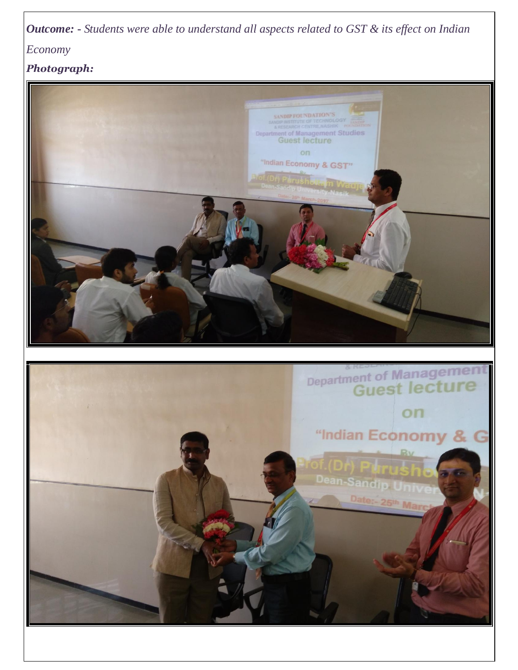*Outcome:* **-** *Students were able to understand all aspects related to GST & its effect on Indian* 

*Economy* 

*Photograph:*